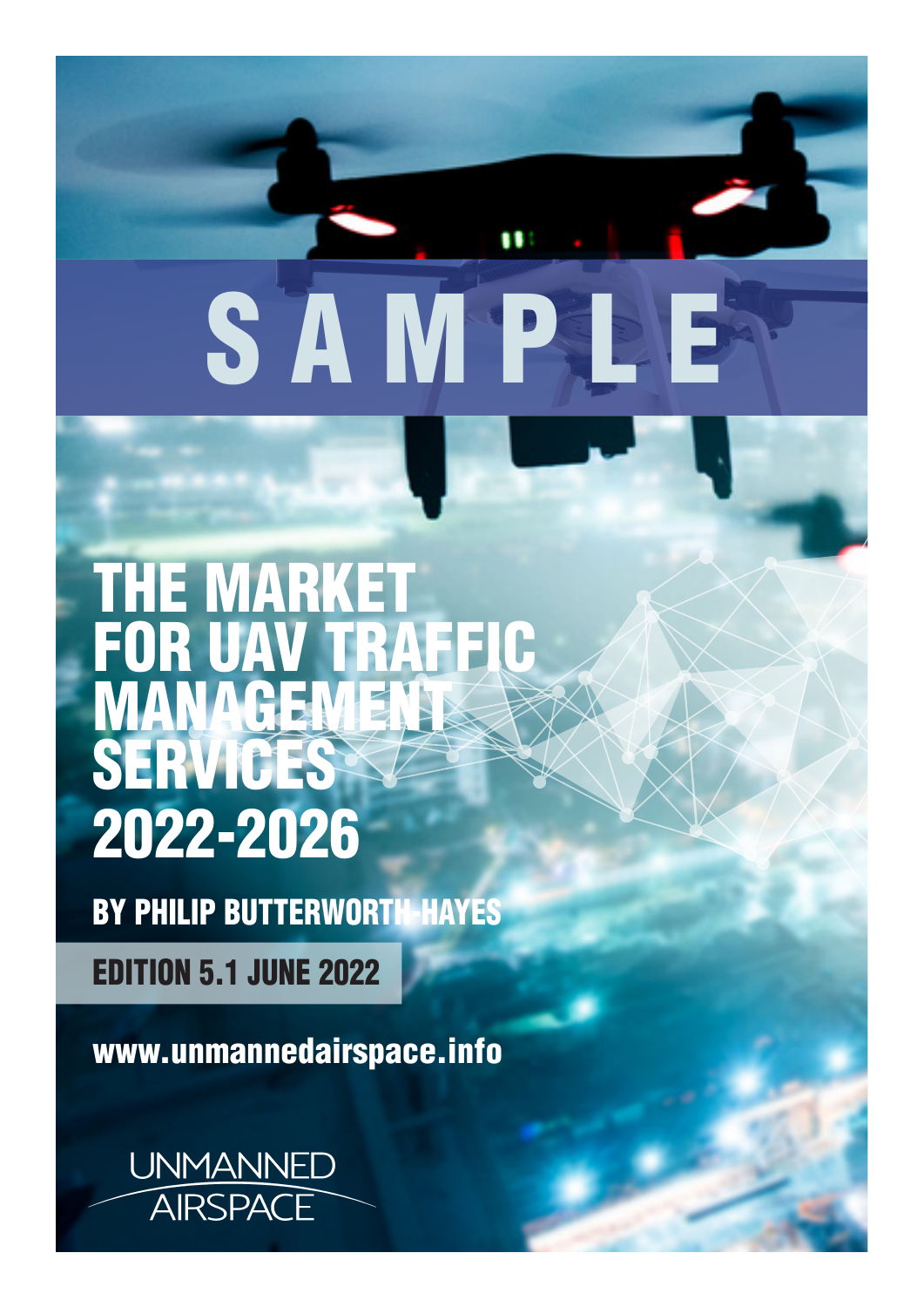THE MARKET FOR UAV TRAFFIC MANAGEMENT SERVICES 2022-2026

SAMP

88

BY PHILIP BUTTERWORTH-HAYES

EDITION 5.1 JUNE 2022

www.unmannedairspace.info

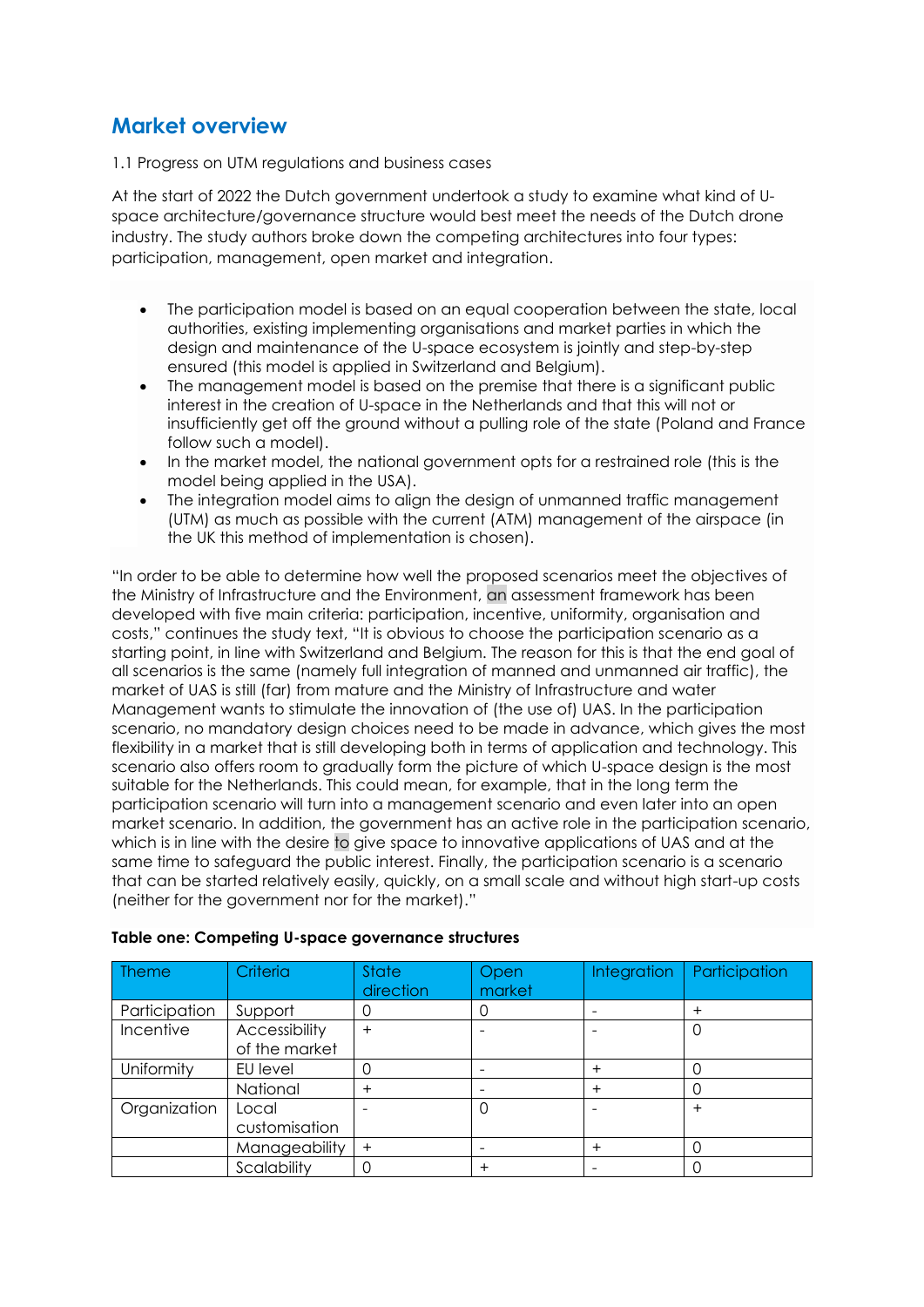# **Market overview**

1.1 Progress on UTM regulations and business cases

At the start of 2022 the Dutch government undertook a study to examine what kind of Uspace architecture/governance structure would best meet the needs of the Dutch drone industry. The study authors broke down the competing architectures into four types: participation, management, open market and integration.

- The participation model is based on an equal cooperation between the state, local authorities, existing implementing organisations and market parties in which the design and maintenance of the U-space ecosystem is jointly and step-by-step ensured (this model is applied in Switzerland and Belgium).
- The management model is based on the premise that there is a significant public interest in the creation of U-space in the Netherlands and that this will not or insufficiently get off the ground without a pulling role of the state (Poland and France follow such a model).
- In the market model, the national government opts for a restrained role (this is the model being applied in the USA).
- The integration model aims to align the design of unmanned traffic management (UTM) as much as possible with the current (ATM) management of the airspace (in the UK this method of implementation is chosen).

"In order to be able to determine how well the proposed scenarios meet the objectives of the Ministry of Infrastructure and the Environment, an assessment framework has been developed with five main criteria: participation, incentive, uniformity, organisation and costs," continues the study text, "It is obvious to choose the participation scenario as a starting point, in line with Switzerland and Belgium. The reason for this is that the end goal of all scenarios is the same (namely full integration of manned and unmanned air traffic), the market of UAS is still (far) from mature and the Ministry of Infrastructure and water Management wants to stimulate the innovation of (the use of) UAS. In the participation scenario, no mandatory design choices need to be made in advance, which gives the most flexibility in a market that is still developing both in terms of application and technology. This scenario also offers room to gradually form the picture of which U-space design is the most suitable for the Netherlands. This could mean, for example, that in the long term the participation scenario will turn into a management scenario and even later into an open market scenario. In addition, the government has an active role in the participation scenario, which is in line with the desire to give space to innovative applications of UAS and at the same time to safeguard the public interest. Finally, the participation scenario is a scenario that can be started relatively easily, quickly, on a small scale and without high start-up costs (neither for the government nor for the market)."

| <b>Theme</b>  | Criteria                       | <b>State</b><br>direction | Open<br>market | <b>Integration</b> | Participation |
|---------------|--------------------------------|---------------------------|----------------|--------------------|---------------|
| Participation | Support                        |                           |                |                    | $\ddot{}$     |
| Incentive     | Accessibility<br>of the market | $\ddot{}$                 |                |                    | 0             |
| Uniformity    | EU level                       |                           |                | $\pm$              |               |
|               | National                       | $\pm$                     |                | $\ddot{}$          | 0             |
| Organization  | Local<br>customisation         |                           |                |                    | $\ddot{}$     |
|               | Manageability                  | $\ddot{}$                 |                | $^{+}$             |               |
|               | Scalability                    |                           |                |                    |               |

#### **Table one: Competing U-space governance structures**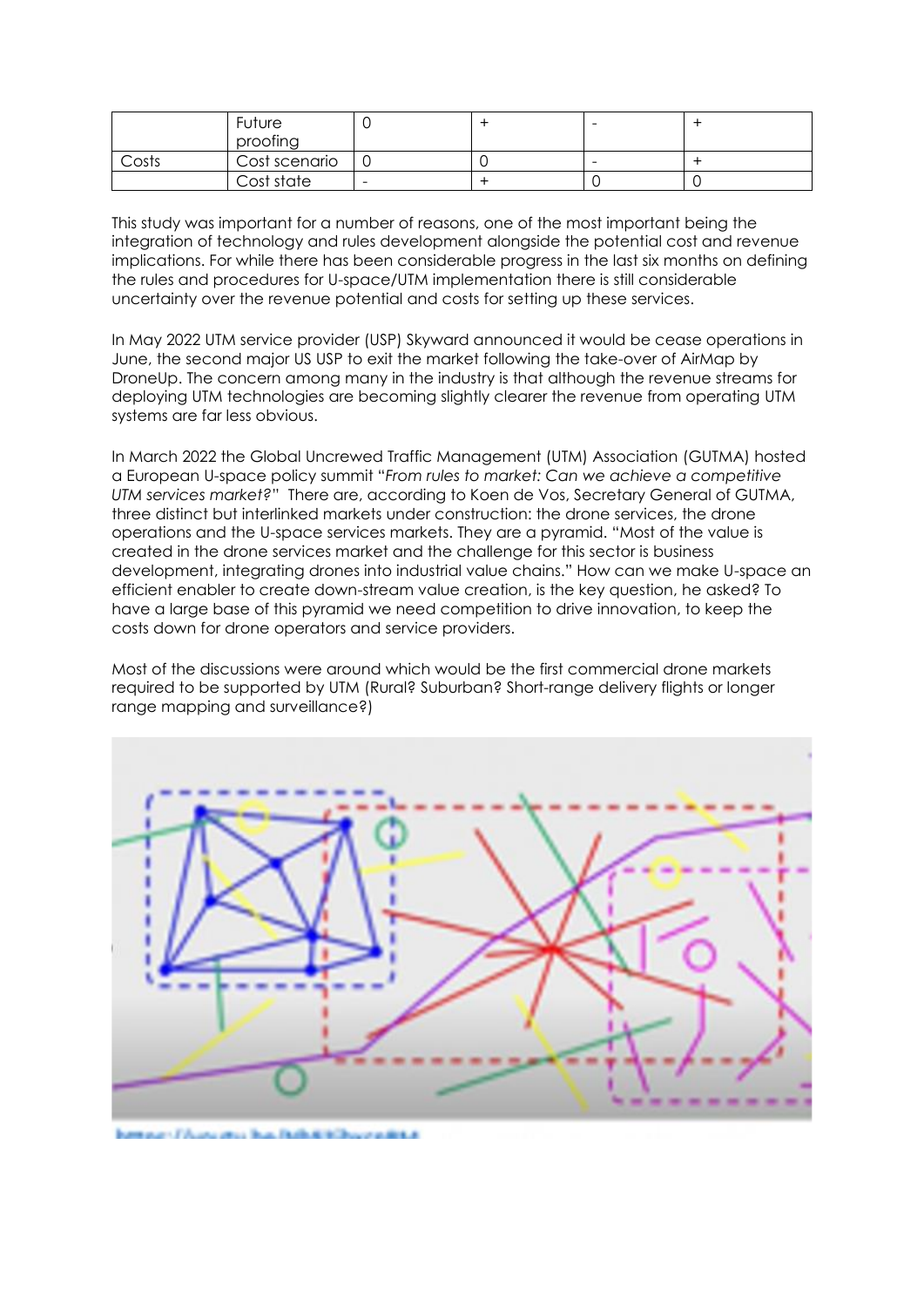|       | Future        |  | -                        |  |
|-------|---------------|--|--------------------------|--|
|       | proofing      |  |                          |  |
| Costs | Cost scenario |  | $\overline{\phantom{0}}$ |  |
|       | Cost state    |  |                          |  |

This study was important for a number of reasons, one of the most important being the integration of technology and rules development alongside the potential cost and revenue implications. For while there has been considerable progress in the last six months on defining the rules and procedures for U-space/UTM implementation there is still considerable uncertainty over the revenue potential and costs for setting up these services.

In May 2022 UTM service provider (USP) Skyward announced it would be cease operations in June, the second major US USP to exit the market following the take-over of AirMap by DroneUp. The concern among many in the industry is that although the revenue streams for deploying UTM technologies are becoming slightly clearer the revenue from operating UTM systems are far less obvious.

In March 2022 the Global Uncrewed Traffic Management (UTM) Association (GUTMA) hosted a European U-space policy summit "*From rules to market: Can we achieve a competitive UTM services market?*" There are, according to Koen de Vos, Secretary General of GUTMA, three distinct but interlinked markets under construction: the drone services, the drone operations and the U-space services markets. They are a pyramid. "Most of the value is created in the drone services market and the challenge for this sector is business development, integrating drones into industrial value chains." How can we make U-space an efficient enabler to create down-stream value creation, is the key question, he asked? To have a large base of this pyramid we need competition to drive innovation, to keep the costs down for drone operators and service providers.

Most of the discussions were around which would be the first commercial drone markets required to be supported by UTM (Rural? Suburban? Short-range delivery flights or longer range mapping and surveillance?)

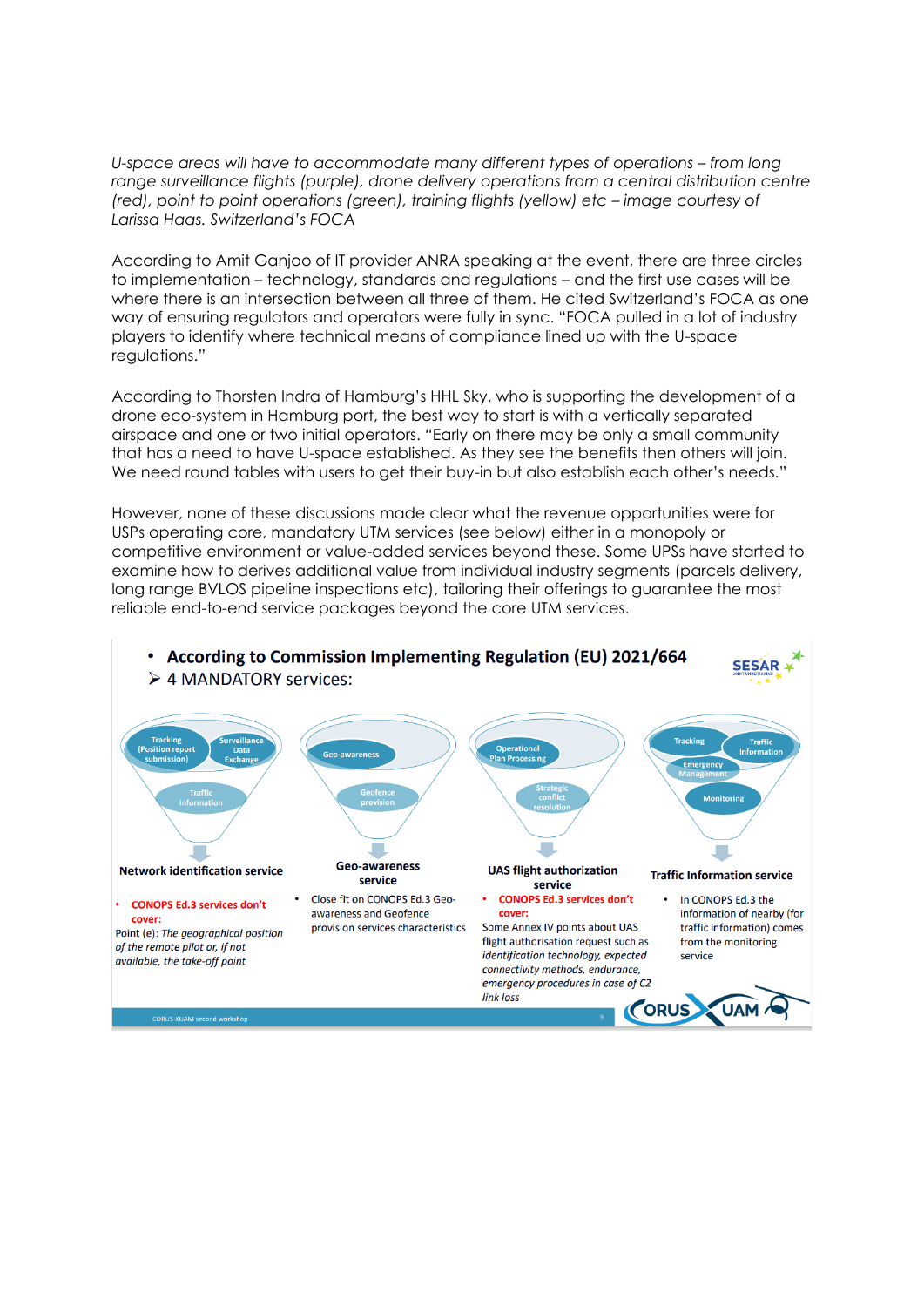*U-space areas will have to accommodate many different types of operations – from long* range surveillance flights (purple), drone delivery operations from a central distribution centre *(red), point to point operations (green), training flights (yellow) etc – <i>image courtesy of Larissa Haas. Switzerland's FOCA*

According to Amit Ganjoo of IT provider ANRA speaking at the event, there are three circles to implementation – technology, standards and regulations – and the first use cases will be where there is an intersection between all three of them. He cited Switzerland's FOCA as one way of ensuring regulators and operators were fully in sync. "FOCA pulled in a lot of industry players to identify where technical means of compliance lined up with the U-space regulations."

According to Thorsten Indra of Hamburg's HHL Sky, who is supporting the development of a drone eco-system in Hamburg port, the best way to start is with a vertically separated airspace and one or two initial operators. "Early on there may be only a small community that has a need to have U-space established. As they see the benefits then others will join. We need round tables with users to get their buy-in but also establish each other's needs."

However, none of these discussions made clear what the revenue opportunities were for USPs operating core, mandatory UTM services (see below) either in a monopoly or competitive environment or value-added services beyond these. Some UPSs have started to examine how to derives additional value from individual industry segments (parcels delivery, long range BVLOS pipeline inspections etc), tailoring their offerings to guarantee the most reliable end-to-end service packages beyond the core UTM services.

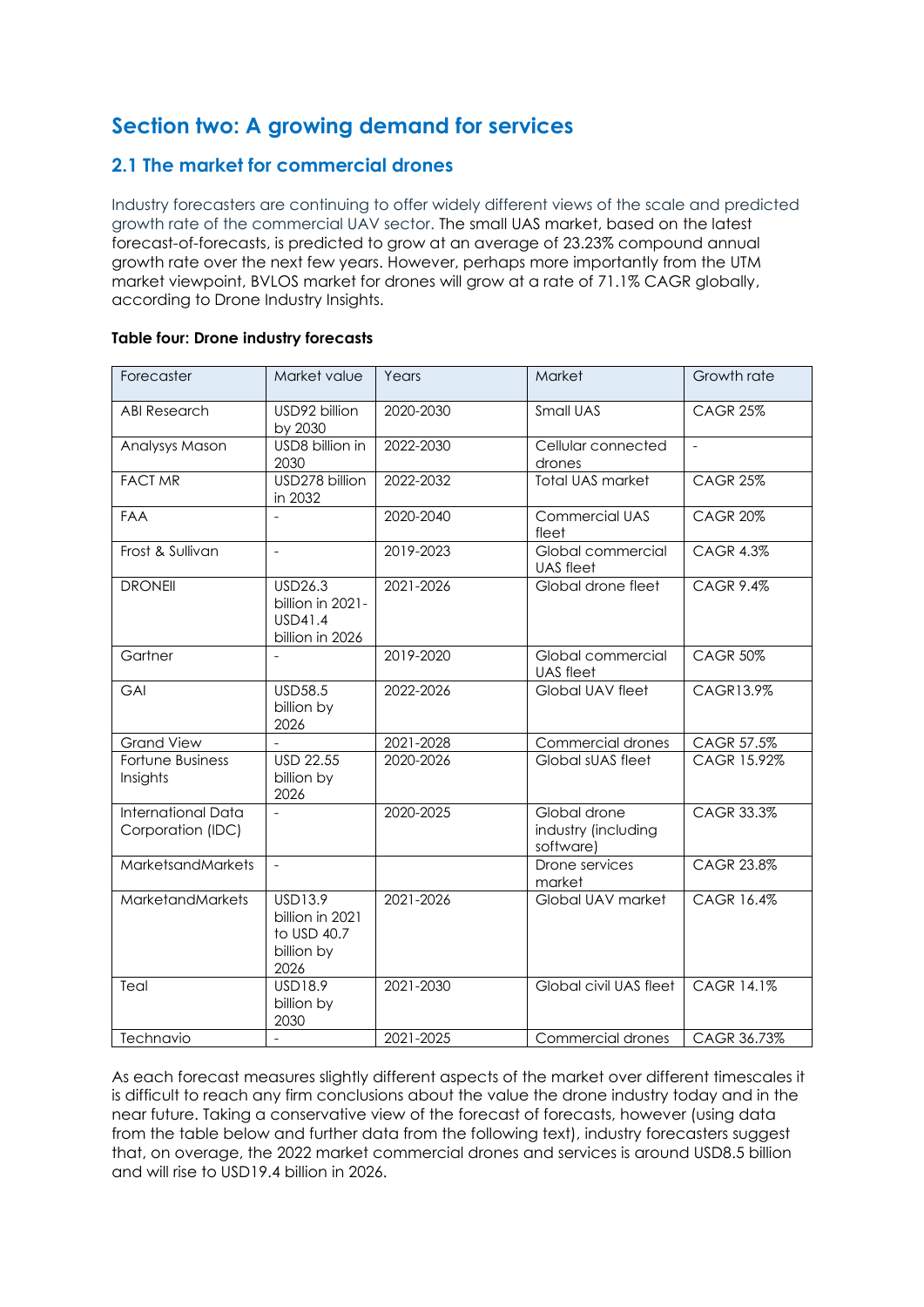# **Section two: A growing demand for services**

## **2.1 The market for commercial drones**

Industry forecasters are continuing to offer widely different views of the scale and predicted growth rate of the commercial UAV sector. The small UAS market, based on the latest forecast-of-forecasts, is predicted to grow at an average of 23.23% compound annual growth rate over the next few years. However, perhaps more importantly from the UTM market viewpoint, BVLOS market for drones will grow at a rate of 71.1% CAGR globally, according to Drone Industry Insights.

| Forecaster                                     | Market value                                                           | Years     | Market                                           | Growth rate       |
|------------------------------------------------|------------------------------------------------------------------------|-----------|--------------------------------------------------|-------------------|
| <b>ABI Research</b>                            | USD92 billion<br>by 2030                                               | 2020-2030 | Small UAS                                        | <b>CAGR 25%</b>   |
| Analysys Mason                                 | USD8 billion in<br>2030                                                | 2022-2030 | Cellular connected<br>drones                     | $\blacksquare$    |
| <b>FACT MR</b>                                 | USD278 billion<br>in 2032                                              | 2022-2032 | <b>Total UAS market</b>                          | <b>CAGR 25%</b>   |
| <b>FAA</b>                                     | $\overline{a}$                                                         | 2020-2040 | <b>Commercial UAS</b><br>fleet                   | <b>CAGR 20%</b>   |
| Frost & Sullivan                               |                                                                        | 2019-2023 | Global commercial<br>UAS fleet                   | <b>CAGR 4.3%</b>  |
| <b>DRONEII</b>                                 | <b>USD26.3</b><br>billion in 2021-<br>USD41.4<br>billion in 2026       | 2021-2026 | Global drone fleet                               | <b>CAGR 9.4%</b>  |
| Gartner                                        |                                                                        | 2019-2020 | Global commercial<br><b>UAS</b> fleet            | <b>CAGR 50%</b>   |
| GAI                                            | <b>USD58.5</b><br>billion by<br>2026                                   | 2022-2026 | Global UAV fleet                                 | CAGR13.9%         |
| <b>Grand View</b>                              |                                                                        | 2021-2028 | Commercial drones                                | CAGR 57.5%        |
| Fortune Business<br>Insights                   | <b>USD 22.55</b><br>billion by<br>2026                                 | 2020-2026 | Global sUAS fleet                                | CAGR 15.92%       |
| <b>International Data</b><br>Corporation (IDC) | $\overline{a}$                                                         | 2020-2025 | Global drone<br>industry (including<br>software) | <b>CAGR 33.3%</b> |
| MarketsandMarkets                              | $\mathbf{r}$                                                           |           | Drone services<br>market                         | CAGR 23.8%        |
| MarketandMarkets                               | <b>USD13.9</b><br>billion in 2021<br>to USD 40.7<br>billion by<br>2026 | 2021-2026 | Global UAV market                                | CAGR 16.4%        |
| Teal                                           | USD18.9<br>billion by<br>2030                                          | 2021-2030 | Global civil UAS fleet                           | CAGR 14.1%        |
| Technavio                                      | $\frac{1}{2}$                                                          | 2021-2025 | <b>Commercial drones</b>                         | CAGR 36.73%       |

#### **Table four: Drone industry forecasts**

As each forecast measures slightly different aspects of the market over different timescales it is difficult to reach any firm conclusions about the value the drone industry today and in the near future. Taking a conservative view of the forecast of forecasts, however (using data from the table below and further data from the following text), industry forecasters suggest that, on overage, the 2022 market commercial drones and services is around USD8.5 billion and will rise to USD19.4 billion in 2026.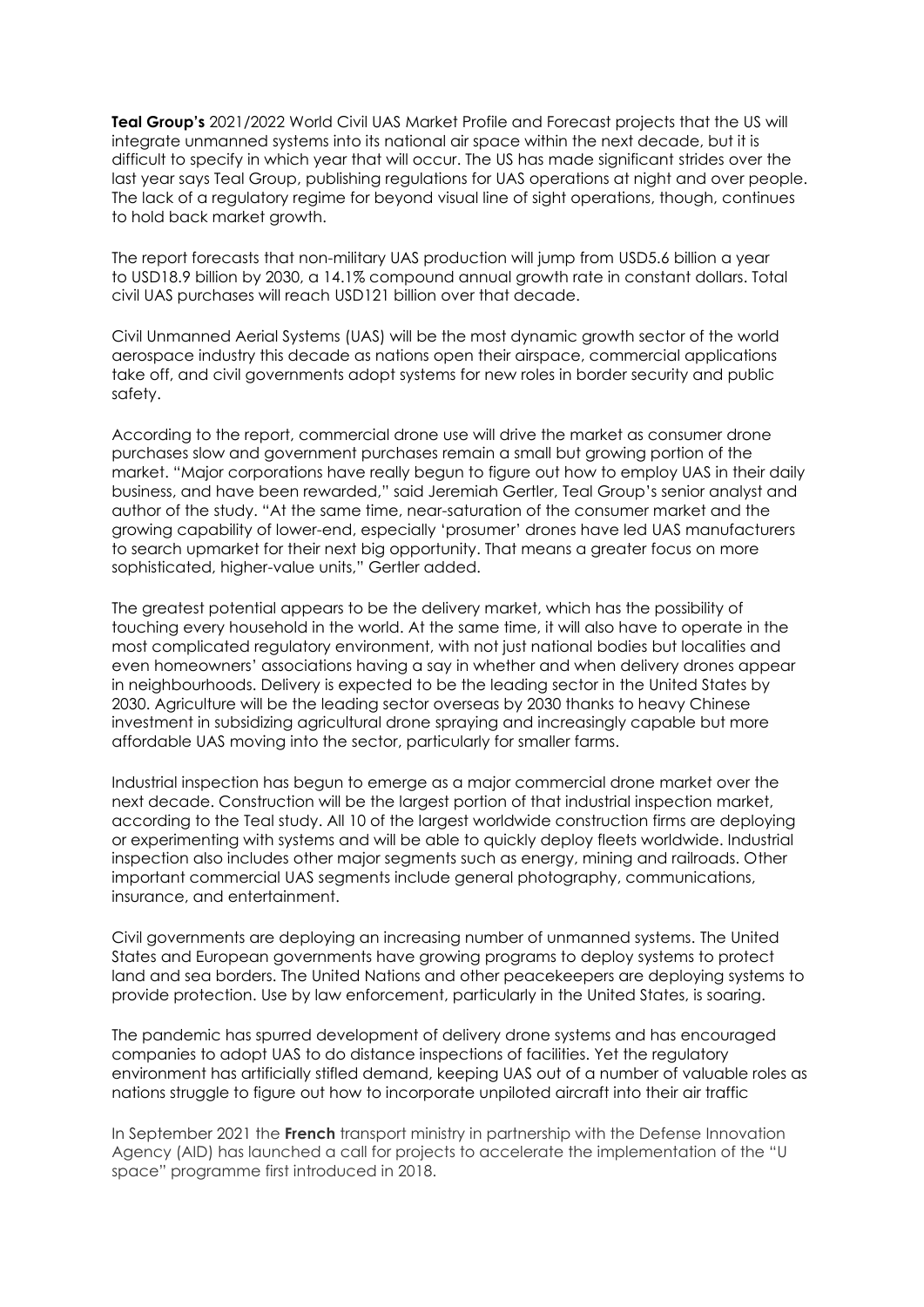**Teal Group's** 2021/2022 World Civil UAS Market Profile and Forecast projects that the US will integrate unmanned systems into its national air space within the next decade, but it is difficult to specify in which year that will occur. The US has made significant strides over the last year says Teal Group, publishing regulations for UAS operations at night and over people. The lack of a regulatory regime for beyond visual line of sight operations, though, continues to hold back market growth.

The report forecasts that non-military UAS production will jump from USD5.6 billion a year to USD18.9 billion by 2030, a 14.1% compound annual growth rate in constant dollars. Total civil UAS purchases will reach USD121 billion over that decade.

Civil Unmanned Aerial Systems (UAS) will be the most dynamic growth sector of the world aerospace industry this decade as nations open their airspace, commercial applications take off, and civil governments adopt systems for new roles in border security and public safety.

According to the report, commercial drone use will drive the market as consumer drone purchases slow and government purchases remain a small but growing portion of the market. "Major corporations have really begun to figure out how to employ UAS in their daily business, and have been rewarded," said Jeremiah Gertler, Teal Group's senior analyst and author of the study. "At the same time, near-saturation of the consumer market and the growing capability of lower-end, especially 'prosumer' drones have led UAS manufacturers to search upmarket for their next big opportunity. That means a greater focus on more sophisticated, higher-value units," Gertler added.

The greatest potential appears to be the delivery market, which has the possibility of touching every household in the world. At the same time, it will also have to operate in the most complicated regulatory environment, with not just national bodies but localities and even homeowners' associations having a say in whether and when delivery drones appear in neighbourhoods. Delivery is expected to be the leading sector in the United States by 2030. Agriculture will be the leading sector overseas by 2030 thanks to heavy Chinese investment in subsidizing agricultural drone spraying and increasingly capable but more affordable UAS moving into the sector, particularly for smaller farms.

Industrial inspection has begun to emerge as a major commercial drone market over the next decade. Construction will be the largest portion of that industrial inspection market, according to the Teal study. All 10 of the largest worldwide construction firms are deploying or experimenting with systems and will be able to quickly deploy fleets worldwide. Industrial inspection also includes other major segments such as energy, mining and railroads. Other important commercial UAS segments include general photography, communications, insurance, and entertainment.

Civil governments are deploying an increasing number of unmanned systems. The United States and European governments have growing programs to deploy systems to protect land and sea borders. The United Nations and other peacekeepers are deploying systems to provide protection. Use by law enforcement, particularly in the United States, is soaring.

The pandemic has spurred development of delivery drone systems and has encouraged companies to adopt UAS to do distance inspections of facilities. Yet the regulatory environment has artificially stifled demand, keeping UAS out of a number of valuable roles as nations struggle to figure out how to incorporate unpiloted aircraft into their air traffic

In September 2021 the **French** transport ministry in partnership with the Defense Innovation Agency (AID) has launched a call for projects to accelerate the implementation of the "U space" programme first introduced in 2018.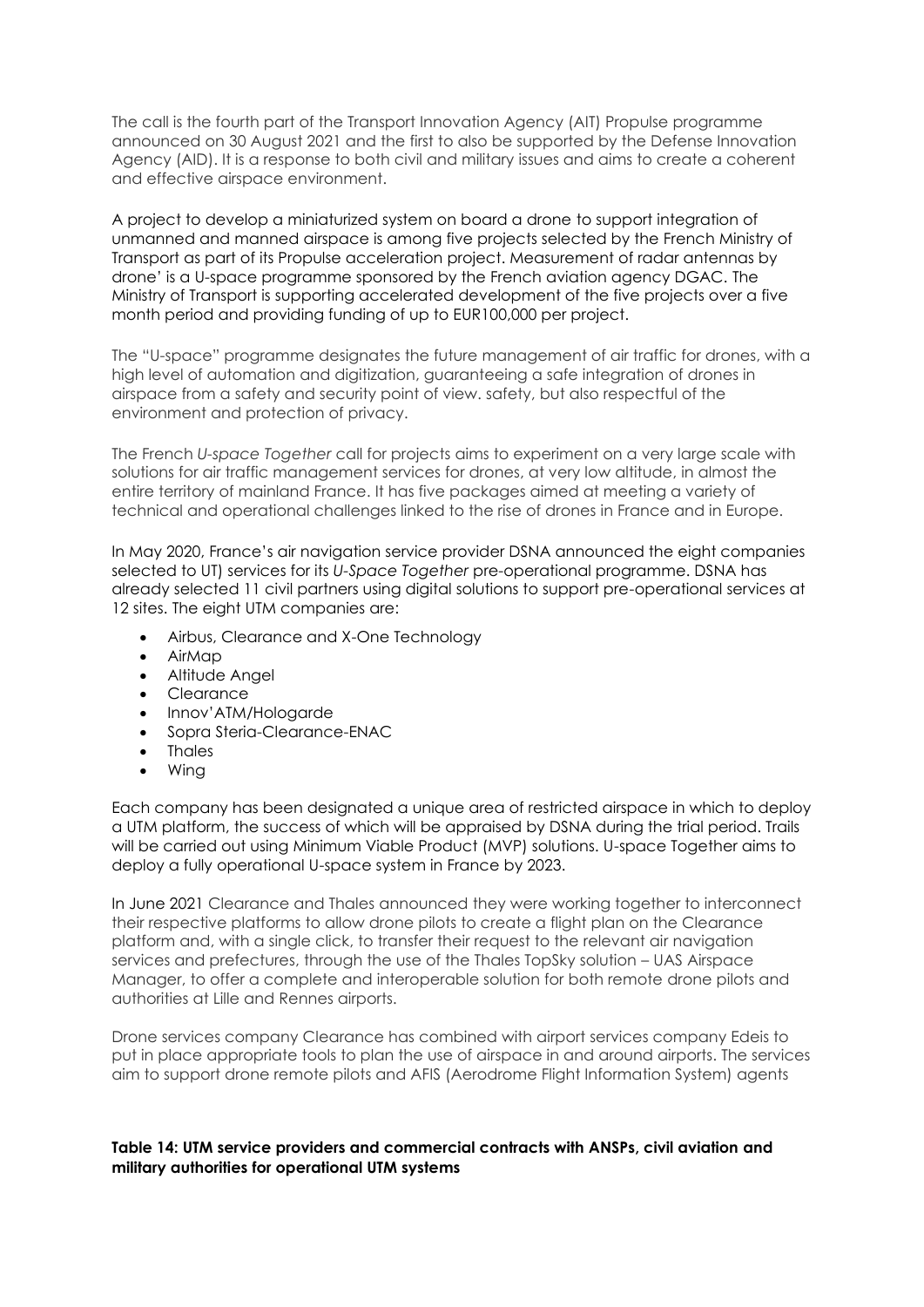The call is the fourth part of the Transport Innovation Agency (AIT) Propulse programme announced on 30 August 2021 and the first to also be supported by the Defense Innovation Agency (AID). It is a response to both civil and military issues and aims to create a coherent and effective airspace environment.

A project to develop a miniaturized system on board a drone to support integration of unmanned and manned airspace is among five projects selected by the French Ministry of Transport as part of its Propulse acceleration project. Measurement of radar antennas by drone' is a U-space programme sponsored by the French aviation agency DGAC. The Ministry of Transport is supporting accelerated development of the five projects over a five month period and providing funding of up to EUR100,000 per project.

The "U-space" programme designates the future management of air traffic for drones, with a high level of automation and digitization, guaranteeing a safe integration of drones in airspace from a safety and security point of view. safety, but also respectful of the environment and protection of privacy.

The French *U-space Together* call for projects aims to experiment on a very large scale with solutions for air traffic management services for drones, at very low altitude, in almost the entire territory of mainland France. It has five packages aimed at meeting a variety of technical and operational challenges linked to the rise of drones in France and in Europe.

In May 2020, France's air navigation service provider DSNA announced the eight companies selected to UT) services for its *U-Space Together* pre-operational programme. DSNA has already selected 11 civil partners using digital solutions to support pre-operational services at 12 sites. The eight UTM companies are:

- Airbus, Clearance and X-One Technology
- AirMap
- Altitude Angel
- Clearance
- Innov'ATM/Hologarde
- Sopra Steria-Clearance-ENAC
- Thales
- Wing

Each company has been designated a unique area of restricted airspace in which to deploy a UTM platform, the success of which will be appraised by DSNA during the trial period. Trails will be carried out using Minimum Viable Product (MVP) solutions. U-space Together aims to deploy a fully operational U-space system in France by 2023.

In June 2021 Clearance and Thales announced they were working together to interconnect their respective platforms to allow drone pilots to create a flight plan on the Clearance platform and, with a single click, to transfer their request to the relevant air navigation services and prefectures, through the use of the Thales TopSky solution – UAS Airspace Manager, to offer a complete and interoperable solution for both remote drone pilots and authorities at Lille and Rennes airports.

Drone services company Clearance has combined with airport services company Edeis to put in place appropriate tools to plan the use of airspace in and around airports. The services aim to support drone remote pilots and AFIS (Aerodrome Flight Information System) agents

#### **Table 14: UTM service providers and commercial contracts with ANSPs, civil aviation and military authorities for operational UTM systems**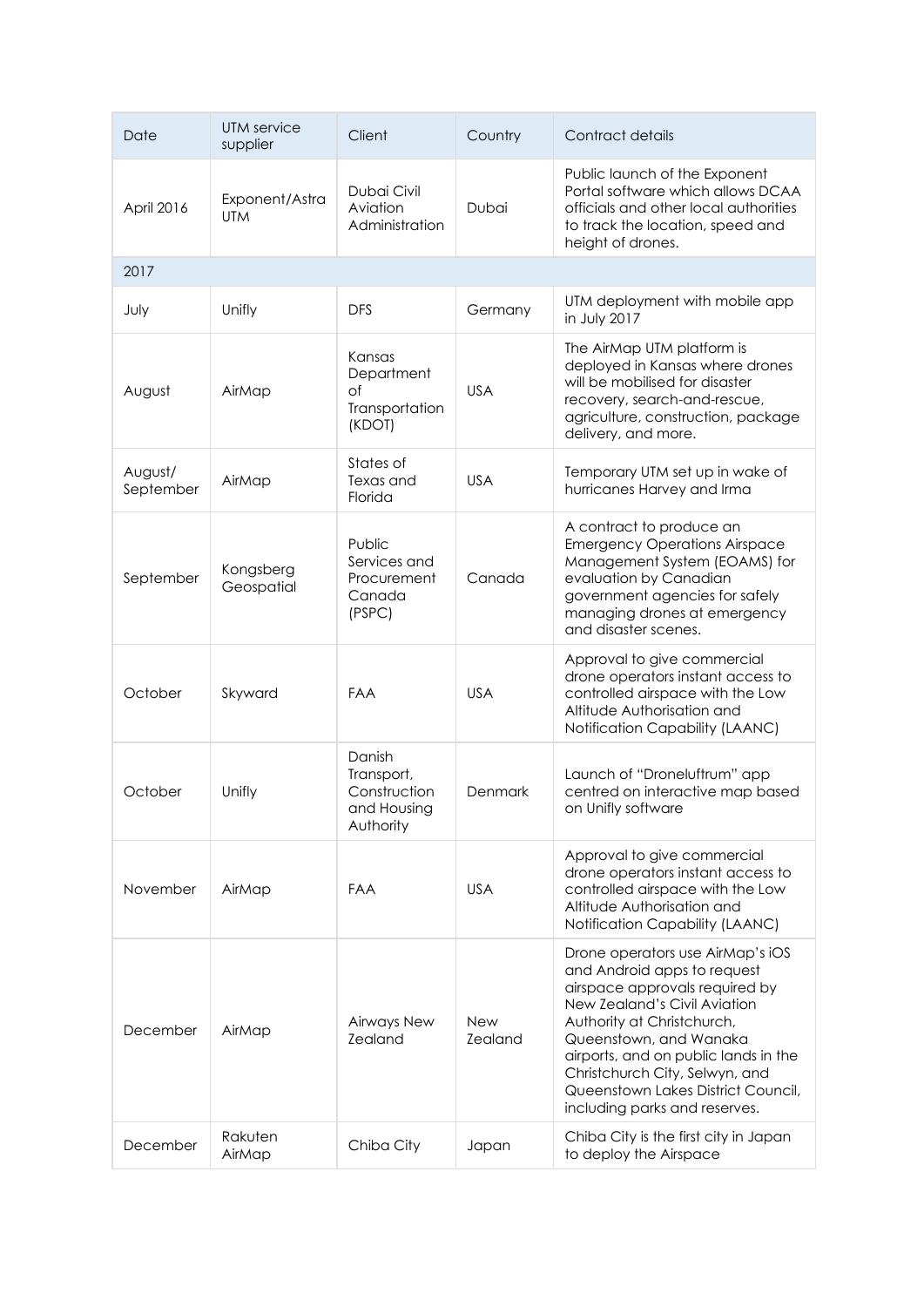| Date                 | UTM service<br>supplier      | Client                                                           | Country                      | Contract details                                                                                                                                                                                                                                                                                                                           |
|----------------------|------------------------------|------------------------------------------------------------------|------------------------------|--------------------------------------------------------------------------------------------------------------------------------------------------------------------------------------------------------------------------------------------------------------------------------------------------------------------------------------------|
| April 2016           | Exponent/Astra<br><b>UTM</b> | Dubai Civil<br>Aviation<br>Administration                        | Dubai                        | Public launch of the Exponent<br>Portal software which allows DCAA<br>officials and other local authorities<br>to track the location, speed and<br>height of drones.                                                                                                                                                                       |
| 2017                 |                              |                                                                  |                              |                                                                                                                                                                                                                                                                                                                                            |
| July                 | Unifly                       | <b>DFS</b>                                                       | Germany                      | UTM deployment with mobile app<br>in July 2017                                                                                                                                                                                                                                                                                             |
| August               | AirMap                       | Kansas<br>Department<br>of<br>Transportation<br>(KDOT)           | <b>USA</b>                   | The AirMap UTM platform is<br>deployed in Kansas where drones<br>will be mobilised for disaster<br>recovery, search-and-rescue,<br>agriculture, construction, package<br>delivery, and more.                                                                                                                                               |
| August/<br>September | AirMap                       | States of<br>Texas and<br>Florida                                | <b>USA</b>                   | Temporary UTM set up in wake of<br>hurricanes Harvey and Irma                                                                                                                                                                                                                                                                              |
| September            | Kongsberg<br>Geospatial      | Public<br>Services and<br>Procurement<br>Canada<br>(PSPC)        | Canada                       | A contract to produce an<br><b>Emergency Operations Airspace</b><br>Management System (EOAMS) for<br>evaluation by Canadian<br>government agencies for safely<br>managing drones at emergency<br>and disaster scenes.                                                                                                                      |
| October              | Skyward                      | <b>FAA</b>                                                       | <b>USA</b>                   | Approval to give commercial<br>drone operators instant access to<br>controlled airspace with the Low<br>Altitude Authorisation and<br>Notification Capability (LAANC)                                                                                                                                                                      |
| October              | Unifly                       | Danish<br>Transport,<br>Construction<br>and Housing<br>Authority | <b>Denmark</b>               | Launch of "Droneluftrum" app<br>centred on interactive map based<br>on Unifly software                                                                                                                                                                                                                                                     |
| November             | AirMap                       | <b>FAA</b>                                                       | <b>USA</b>                   | Approval to give commercial<br>drone operators instant access to<br>controlled airspace with the Low<br>Altitude Authorisation and<br>Notification Capability (LAANC)                                                                                                                                                                      |
| December             | AirMap                       | Airways New<br>Zealand                                           | <b>New</b><br><b>Zealand</b> | Drone operators use AirMap's iOS<br>and Android apps to request<br>airspace approvals required by<br>New Zealand's Civil Aviation<br>Authority at Christchurch,<br>Queenstown, and Wanaka<br>airports, and on public lands in the<br>Christchurch City, Selwyn, and<br>Queenstown Lakes District Council,<br>including parks and reserves. |
| December             | Rakuten<br>AirMap            | Chiba City                                                       | Japan                        | Chiba City is the first city in Japan<br>to deploy the Airspace                                                                                                                                                                                                                                                                            |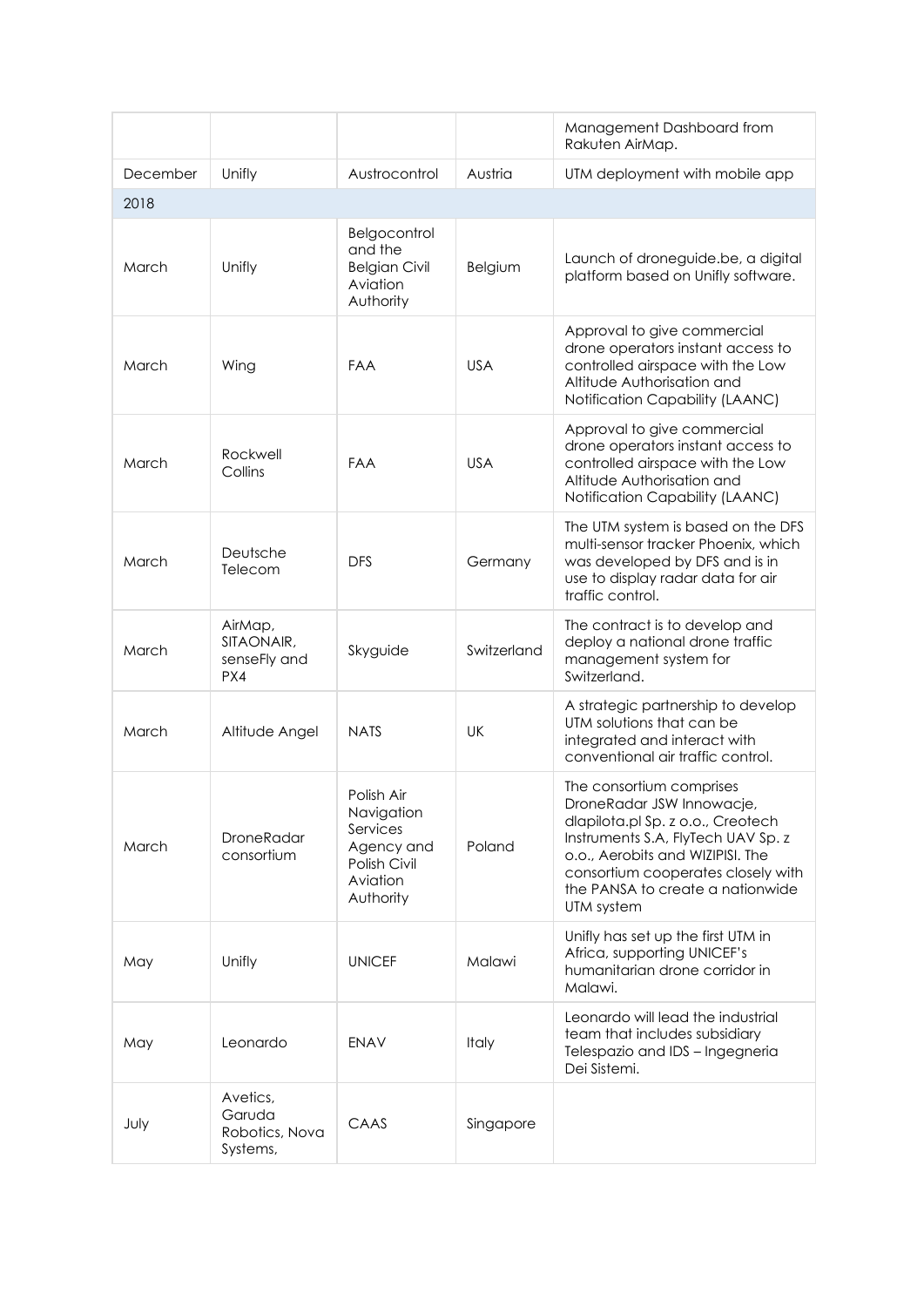|          |                                                  |                                                                                             |             | Management Dashboard from<br>Rakuten AirMap.                                                                                                                                                                                                                 |
|----------|--------------------------------------------------|---------------------------------------------------------------------------------------------|-------------|--------------------------------------------------------------------------------------------------------------------------------------------------------------------------------------------------------------------------------------------------------------|
| December | Unifly                                           | Austrocontrol                                                                               | Austria     | UTM deployment with mobile app                                                                                                                                                                                                                               |
| 2018     |                                                  |                                                                                             |             |                                                                                                                                                                                                                                                              |
| March    | Unifly                                           | Belgocontrol<br>and the<br><b>Belgian Civil</b><br>Aviation<br>Authority                    | Belgium     | Launch of droneguide.be, a digital<br>platform based on Unifly software.                                                                                                                                                                                     |
| March    | Wing                                             | <b>FAA</b>                                                                                  | <b>USA</b>  | Approval to give commercial<br>drone operators instant access to<br>controlled airspace with the Low<br>Altitude Authorisation and<br>Notification Capability (LAANC)                                                                                        |
| March    | Rockwell<br>Collins                              | <b>FAA</b>                                                                                  | <b>USA</b>  | Approval to give commercial<br>drone operators instant access to<br>controlled airspace with the Low<br>Altitude Authorisation and<br>Notification Capability (LAANC)                                                                                        |
| March    | Deutsche<br>Telecom                              | <b>DFS</b>                                                                                  | Germany     | The UTM system is based on the DFS<br>multi-sensor tracker Phoenix, which<br>was developed by DFS and is in<br>use to display radar data for air<br>traffic control.                                                                                         |
| March    | AirMap,<br>SITAONAIR,<br>senseFly and<br>PX4     | Skyguide                                                                                    | Switzerland | The contract is to develop and<br>deploy a national drone traffic<br>management system for<br>Switzerland.                                                                                                                                                   |
| March    | Altitude Angel                                   | <b>NATS</b>                                                                                 | UK          | A strategic partnership to develop<br>UTM solutions that can be<br>integrated and interact with<br>conventional air traffic control.                                                                                                                         |
| March    | <b>DroneRadar</b><br>consortium                  | Polish Air<br>Navigation<br>Services<br>Agency and<br>Polish Civil<br>Aviation<br>Authority | Poland      | The consortium comprises<br>DroneRadar JSW Innowacje,<br>dlapilota.pl Sp. z o.o., Creotech<br>Instruments S.A, FlyTech UAV Sp. z<br>o.o., Aerobits and WIZIPISI. The<br>consortium cooperates closely with<br>the PANSA to create a nationwide<br>UTM system |
| May      | Unifly                                           | <b>UNICEF</b>                                                                               | Malawi      | Unifly has set up the first UTM in<br>Africa, supporting UNICEF's<br>humanitarian drone corridor in<br>Malawi.                                                                                                                                               |
| May      | Leonardo                                         | <b>ENAV</b>                                                                                 | Italy       | Leonardo will lead the industrial<br>team that includes subsidiary<br>Telespazio and IDS - Ingegneria<br>Dei Sistemi.                                                                                                                                        |
| July     | Avetics,<br>Garuda<br>Robotics, Nova<br>Systems, | CAAS                                                                                        | Singapore   |                                                                                                                                                                                                                                                              |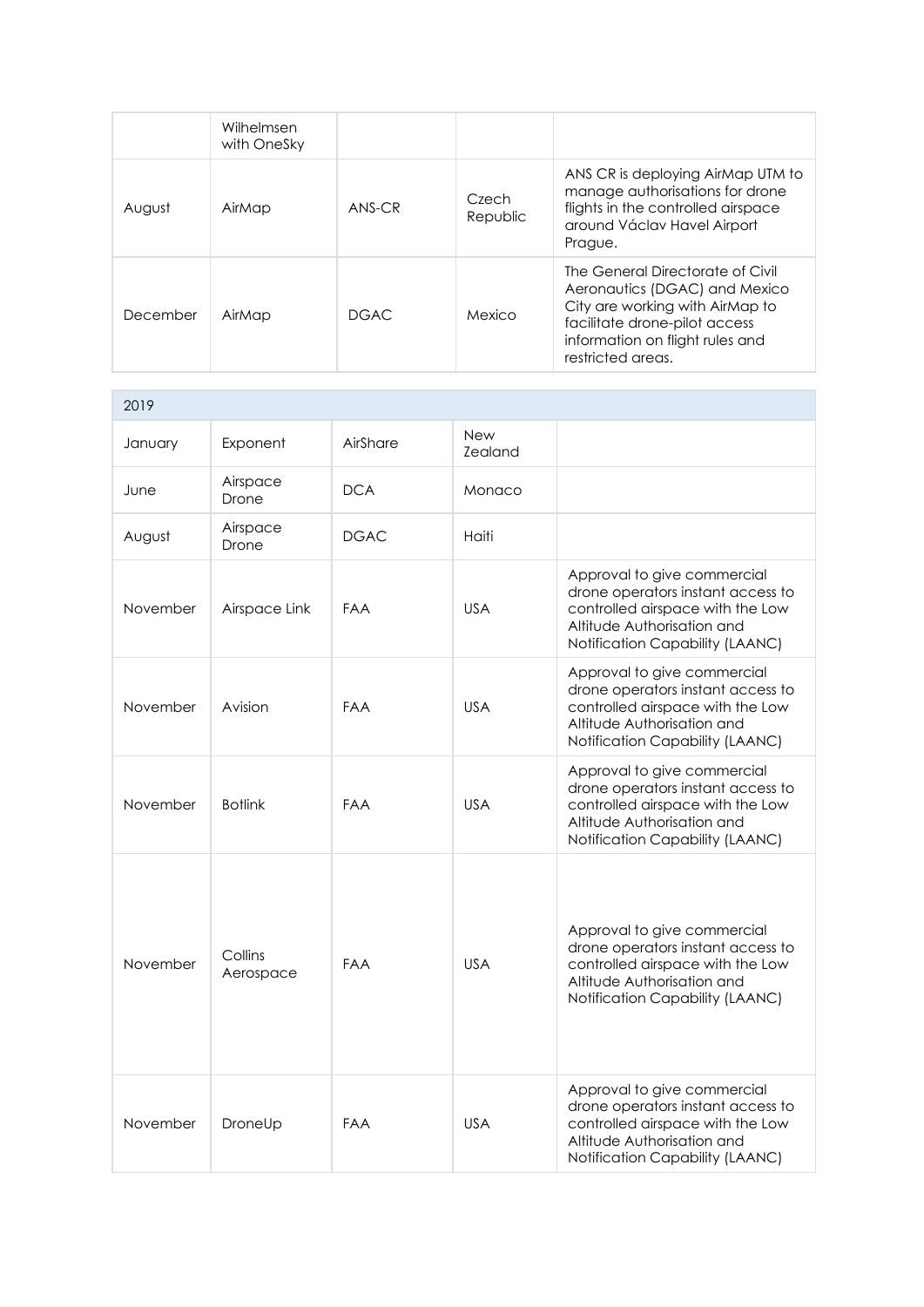|          | Wilhelmsen<br>with OneSky |          |                   |                                                                                                                                                                                               |
|----------|---------------------------|----------|-------------------|-----------------------------------------------------------------------------------------------------------------------------------------------------------------------------------------------|
| August   | AirMap                    | $ANS-CR$ | Czech<br>Republic | ANS CR is deploying AirMap UTM to<br>manage authorisations for drone<br>flights in the controlled airspace<br>around Václav Havel Airport<br>Prague.                                          |
| December | AirMap                    | DGAC.    | Mexico            | The General Directorate of Civil<br>Aeronautics (DGAC) and Mexico<br>City are working with AirMap to<br>facilitate drone-pilot access<br>information on flight rules and<br>restricted areas. |

| 2019     |                      |             |                       |                                                                                                                                                                       |
|----------|----------------------|-------------|-----------------------|-----------------------------------------------------------------------------------------------------------------------------------------------------------------------|
| January  | Exponent             | AirShare    | <b>New</b><br>Zealand |                                                                                                                                                                       |
| June     | Airspace<br>Drone    | <b>DCA</b>  | Monaco                |                                                                                                                                                                       |
| August   | Airspace<br>Drone    | <b>DGAC</b> | Haiti                 |                                                                                                                                                                       |
| November | Airspace Link        | <b>FAA</b>  | <b>USA</b>            | Approval to give commercial<br>drone operators instant access to<br>controlled airspace with the Low<br>Altitude Authorisation and<br>Notification Capability (LAANC) |
| November | Avision              | <b>FAA</b>  | <b>USA</b>            | Approval to give commercial<br>drone operators instant access to<br>controlled airspace with the Low<br>Altitude Authorisation and<br>Notification Capability (LAANC) |
| November | <b>Botlink</b>       | <b>FAA</b>  | <b>USA</b>            | Approval to give commercial<br>drone operators instant access to<br>controlled airspace with the Low<br>Altitude Authorisation and<br>Notification Capability (LAANC) |
| November | Collins<br>Aerospace | <b>FAA</b>  | <b>USA</b>            | Approval to give commercial<br>drone operators instant access to<br>controlled airspace with the Low<br>Altitude Authorisation and<br>Notification Capability (LAANC) |
| November | DroneUp              | <b>FAA</b>  | <b>USA</b>            | Approval to give commercial<br>drone operators instant access to<br>controlled airspace with the Low<br>Altitude Authorisation and<br>Notification Capability (LAANC) |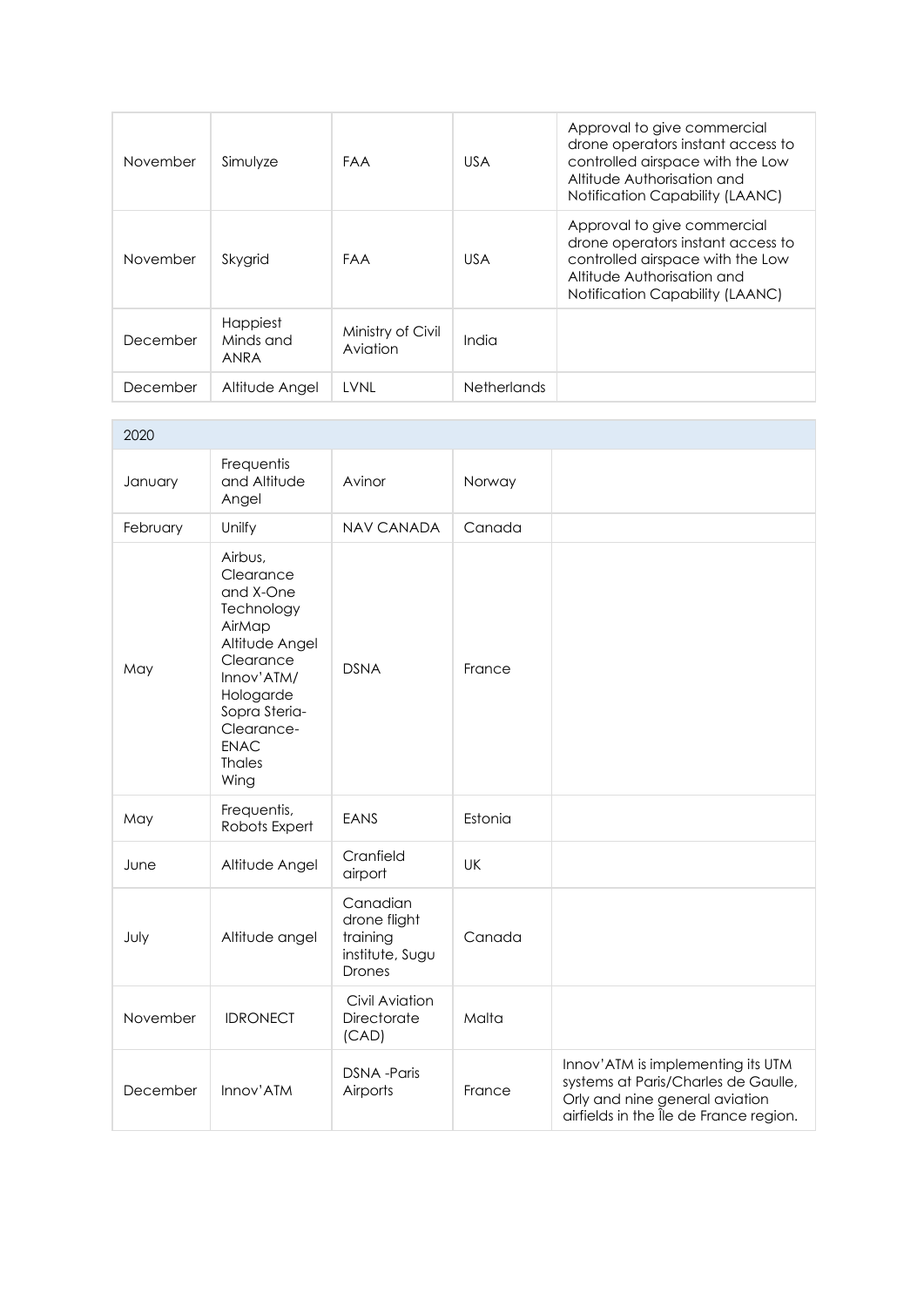| November | Simulyze                      | FAA                           | <b>USA</b>         | Approval to give commercial<br>drone operators instant access to<br>controlled airspace with the Low<br>Altitude Authorisation and<br><b>Notification Capability (LAANC)</b> |
|----------|-------------------------------|-------------------------------|--------------------|------------------------------------------------------------------------------------------------------------------------------------------------------------------------------|
| November | Skygrid                       | <b>FAA</b>                    | <b>USA</b>         | Approval to give commercial<br>drone operators instant access to<br>controlled airspace with the Low<br>Altitude Authorisation and<br><b>Notification Capability (LAANC)</b> |
| December | Happiest<br>Minds and<br>ANRA | Ministry of Civil<br>Aviation | India              |                                                                                                                                                                              |
| December | Altitude Angel                | LVNL                          | <b>Netherlands</b> |                                                                                                                                                                              |

| 2020     |                                                                                                                                                                                            |                                                                   |         |                                                                                                                                                      |
|----------|--------------------------------------------------------------------------------------------------------------------------------------------------------------------------------------------|-------------------------------------------------------------------|---------|------------------------------------------------------------------------------------------------------------------------------------------------------|
| January  | Frequentis<br>and Altitude<br>Angel                                                                                                                                                        | Avinor                                                            | Norway  |                                                                                                                                                      |
| February | Unilfy                                                                                                                                                                                     | <b>NAV CANADA</b>                                                 | Canada  |                                                                                                                                                      |
| May      | Airbus,<br>Clearance<br>and X-One<br>Technology<br>AirMap<br>Altitude Angel<br>Clearance<br>Innov'ATM/<br>Hologarde<br>Sopra Steria-<br>Clearance-<br><b>ENAC</b><br><b>Thales</b><br>Wing | <b>DSNA</b>                                                       | France  |                                                                                                                                                      |
| May      | Frequentis,<br>Robots Expert                                                                                                                                                               | EANS                                                              | Estonia |                                                                                                                                                      |
| June     | Altitude Angel                                                                                                                                                                             | Cranfield<br>airport                                              | UK      |                                                                                                                                                      |
| July     | Altitude angel                                                                                                                                                                             | Canadian<br>drone flight<br>training<br>institute, Sugu<br>Drones | Canada  |                                                                                                                                                      |
| November | <b>IDRONECT</b>                                                                                                                                                                            | Civil Aviation<br>Directorate<br>(CAD)                            | Malta   |                                                                                                                                                      |
| December | Innov'ATM                                                                                                                                                                                  | <b>DSNA</b> - Paris<br>Airports                                   | France  | Innov'ATM is implementing its UTM<br>systems at Paris/Charles de Gaulle,<br>Orly and nine general aviation<br>airfields in the Île de France region. |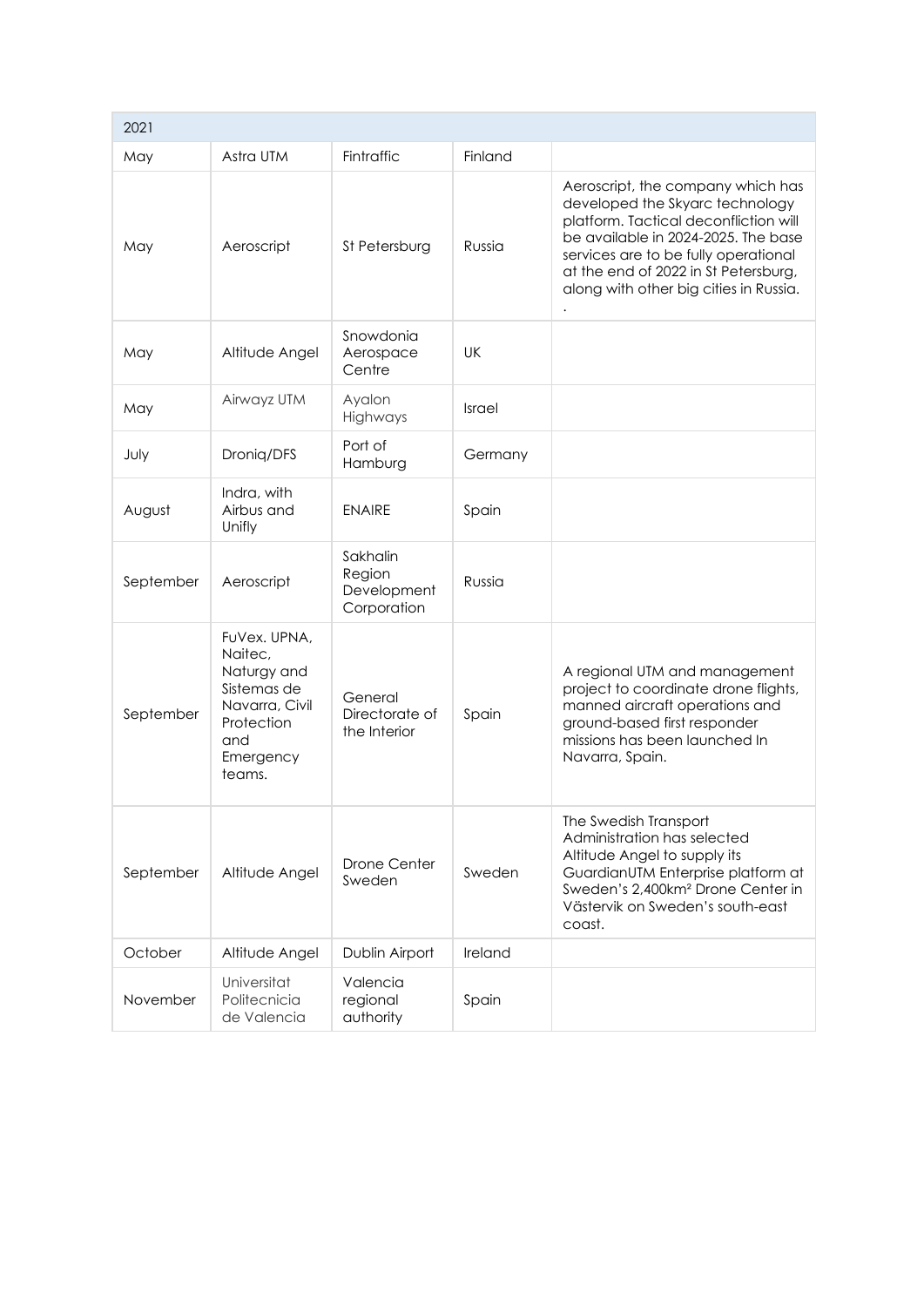| 2021      |                                                                                                                     |                                                  |           |                                                                                                                                                                                                                                                                                |
|-----------|---------------------------------------------------------------------------------------------------------------------|--------------------------------------------------|-----------|--------------------------------------------------------------------------------------------------------------------------------------------------------------------------------------------------------------------------------------------------------------------------------|
| May       | Astra UTM                                                                                                           | Fintraffic                                       | Finland   |                                                                                                                                                                                                                                                                                |
| May       | Aeroscript                                                                                                          | St Petersburg                                    | Russia    | Aeroscript, the company which has<br>developed the Skyarc technology<br>platform. Tactical deconfliction will<br>be available in 2024-2025. The base<br>services are to be fully operational<br>at the end of 2022 in St Petersburg,<br>along with other big cities in Russia. |
| May       | Altitude Angel                                                                                                      | Snowdonia<br>Aerospace<br>Centre                 | <b>UK</b> |                                                                                                                                                                                                                                                                                |
| May       | Airwayz UTM                                                                                                         | Ayalon<br>Highways                               | Israel    |                                                                                                                                                                                                                                                                                |
| July      | Droniq/DFS                                                                                                          | Port of<br>Hamburg                               | Germany   |                                                                                                                                                                                                                                                                                |
| August    | Indra, with<br>Airbus and<br>Unifly                                                                                 | <b>ENAIRE</b>                                    | Spain     |                                                                                                                                                                                                                                                                                |
| September | Aeroscript                                                                                                          | Sakhalin<br>Region<br>Development<br>Corporation | Russia    |                                                                                                                                                                                                                                                                                |
| September | FuVex. UPNA,<br>Naitec,<br>Naturgy and<br>Sistemas de<br>Navarra, Civil<br>Protection<br>and<br>Emergency<br>teams. | General<br>Directorate of<br>the Interior        | Spain     | A regional UTM and management<br>project to coordinate drone flights,<br>manned aircraft operations and<br>ground-based first responder<br>missions has been launched In<br>Navarra, Spain.                                                                                    |
| September | Altitude Angel                                                                                                      | <b>Drone Center</b><br>Sweden                    | Sweden    | The Swedish Transport<br>Administration has selected<br>Altitude Angel to supply its<br>GuardianUTM Enterprise platform at<br>Sweden's 2,400km <sup>2</sup> Drone Center in<br>Västervik on Sweden's south-east<br>coast.                                                      |
| October   | Altitude Angel                                                                                                      | Dublin Airport                                   | Ireland   |                                                                                                                                                                                                                                                                                |
| November  | Universitat<br>Politecnicia<br>de Valencia                                                                          | Valencia<br>regional<br>authority                | Spain     |                                                                                                                                                                                                                                                                                |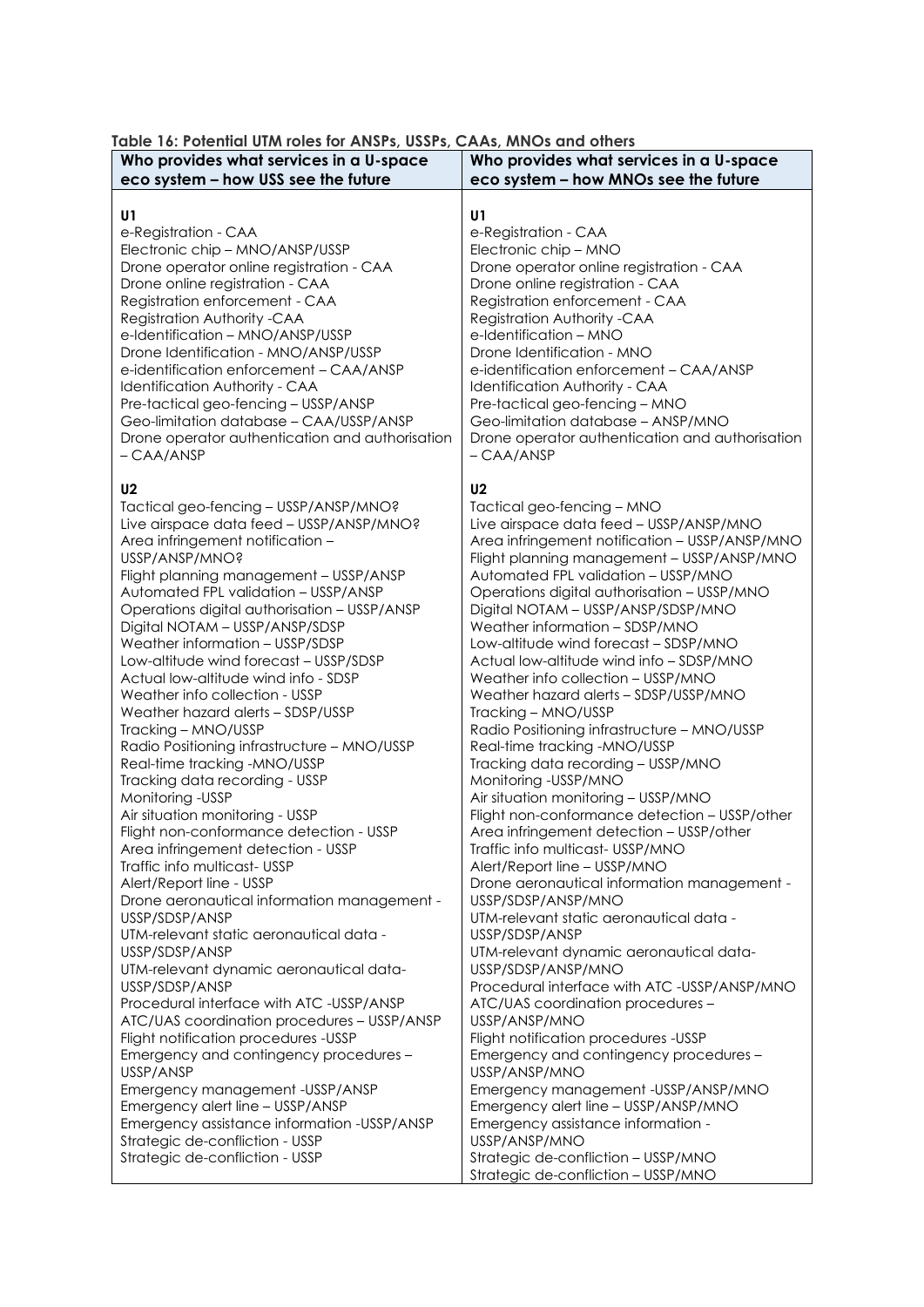| Who provides what services in a U-space                                                                                                                                                                                                                                                                                                                                                                                                                                                                                                                                                                                                                                                                                                                                                                                                                                                                                                                                                                                                                                                                                                                                                                                                                                                        | Who provides what services in a U-space                                                                                                                                                                                                                                                                                                                                                                                                                                                                                                                                                                                                                                                                                                                                                                                                                                                                                                                                                                                                                                                                                                                                                                                                                                                                                                                   |
|------------------------------------------------------------------------------------------------------------------------------------------------------------------------------------------------------------------------------------------------------------------------------------------------------------------------------------------------------------------------------------------------------------------------------------------------------------------------------------------------------------------------------------------------------------------------------------------------------------------------------------------------------------------------------------------------------------------------------------------------------------------------------------------------------------------------------------------------------------------------------------------------------------------------------------------------------------------------------------------------------------------------------------------------------------------------------------------------------------------------------------------------------------------------------------------------------------------------------------------------------------------------------------------------|-----------------------------------------------------------------------------------------------------------------------------------------------------------------------------------------------------------------------------------------------------------------------------------------------------------------------------------------------------------------------------------------------------------------------------------------------------------------------------------------------------------------------------------------------------------------------------------------------------------------------------------------------------------------------------------------------------------------------------------------------------------------------------------------------------------------------------------------------------------------------------------------------------------------------------------------------------------------------------------------------------------------------------------------------------------------------------------------------------------------------------------------------------------------------------------------------------------------------------------------------------------------------------------------------------------------------------------------------------------|
| eco system - how USS see the future                                                                                                                                                                                                                                                                                                                                                                                                                                                                                                                                                                                                                                                                                                                                                                                                                                                                                                                                                                                                                                                                                                                                                                                                                                                            | eco system - how MNOs see the future                                                                                                                                                                                                                                                                                                                                                                                                                                                                                                                                                                                                                                                                                                                                                                                                                                                                                                                                                                                                                                                                                                                                                                                                                                                                                                                      |
| U1<br>e-Registration - CAA<br>Electronic chip - MNO/ANSP/USSP<br>Drone operator online registration - CAA<br>Drone online registration - CAA<br>Registration enforcement - CAA<br>Registration Authority -CAA<br>e-Identification - MNO/ANSP/USSP<br>Drone Identification - MNO/ANSP/USSP<br>e-identification enforcement - CAA/ANSP<br>Identification Authority - CAA<br>Pre-tactical geo-fencing - USSP/ANSP<br>Geo-limitation database - CAA/USSP/ANSP<br>Drone operator authentication and authorisation<br>- CAA/ANSP                                                                                                                                                                                                                                                                                                                                                                                                                                                                                                                                                                                                                                                                                                                                                                     | U1<br>e-Registration - CAA<br>Electronic chip - MNO<br>Drone operator online registration - CAA<br>Drone online registration - CAA<br>Registration enforcement - CAA<br>Registration Authority -CAA<br>e-Identification - MNO<br>Drone Identification - MNO<br>e-identification enforcement - CAA/ANSP<br><b>Identification Authority - CAA</b><br>Pre-tactical geo-fencing - MNO<br>Geo-limitation database - ANSP/MNO<br>Drone operator authentication and authorisation<br>- CAA/ANSP                                                                                                                                                                                                                                                                                                                                                                                                                                                                                                                                                                                                                                                                                                                                                                                                                                                                  |
| U <sub>2</sub><br>Tactical geo-fencing - USSP/ANSP/MNO?<br>Live airspace data feed - USSP/ANSP/MNO?<br>Area infringement notification -<br>USSP/ANSP/MNO?<br>Flight planning management - USSP/ANSP<br>Automated FPL validation - USSP/ANSP<br>Operations digital authorisation - USSP/ANSP<br>Digital NOTAM - USSP/ANSP/SDSP<br>Weather information - USSP/SDSP<br>Low-altitude wind forecast - USSP/SDSP<br>Actual low-altitude wind info - SDSP<br>Weather info collection - USSP<br>Weather hazard alerts - SDSP/USSP<br>Tracking - MNO/USSP<br>Radio Positioning infrastructure - MNO/USSP<br>Real-time tracking -MNO/USSP<br>Tracking data recording - USSP<br>Monitoring - USSP<br>Air situation monitoring - USSP<br>Flight non-conformance detection - USSP<br>Area infringement detection - USSP<br>Traffic info multicast- USSP<br>Alert/Report line - USSP<br>Drone aeronautical information management -<br>USSP/SDSP/ANSP<br>UTM-relevant static aeronautical data -<br>USSP/SDSP/ANSP<br>UTM-relevant dynamic aeronautical data-<br>USSP/SDSP/ANSP<br>Procedural interface with ATC -USSP/ANSP<br>ATC/UAS coordination procedures - USSP/ANSP<br>Flight notification procedures -USSP<br>Emergency and contingency procedures -<br>USSP/ANSP<br>Emergency management -USSP/ANSP | U <sub>2</sub><br>Tactical geo-fencing - MNO<br>Live airspace data feed - USSP/ANSP/MNO<br>Area infringement notification - USSP/ANSP/MNO<br>Flight planning management - USSP/ANSP/MNO<br>Automated FPL validation - USSP/MNO<br>Operations digital authorisation - USSP/MNO<br>Digital NOTAM - USSP/ANSP/SDSP/MNO<br>Weather information - SDSP/MNO<br>Low-altitude wind forecast - SDSP/MNO<br>Actual low-altitude wind info - SDSP/MNO<br>Weather info collection - USSP/MNO<br>Weather hazard alerts - SDSP/USSP/MNO<br>Tracking - MNO/USSP<br>Radio Positioning infrastructure - MNO/USSP<br>Real-time tracking -MNO/USSP<br>Tracking data recording - USSP/MNO<br>Monitoring -USSP/MNO<br>Air situation monitoring - USSP/MNO<br>Flight non-conformance detection - USSP/other<br>Area infringement detection - USSP/other<br>Traffic info multicast- USSP/MNO<br>Alert/Report line - USSP/MNO<br>Drone aeronautical information management -<br>USSP/SDSP/ANSP/MNO<br>UTM-relevant static aeronautical data -<br>USSP/SDSP/ANSP<br>UTM-relevant dynamic aeronautical data-<br>USSP/SDSP/ANSP/MNO<br>Procedural interface with ATC -USSP/ANSP/MNO<br>ATC/UAS coordination procedures -<br>USSP/ANSP/MNO<br>Flight notification procedures -USSP<br>Emergency and contingency procedures -<br>USSP/ANSP/MNO<br>Emergency management - USSP/ANSP/MNO |
| Emergency alert line - USSP/ANSP<br>Emergency assistance information -USSP/ANSP<br>Strategic de-confliction - USSP<br>Strategic de-confliction - USSP                                                                                                                                                                                                                                                                                                                                                                                                                                                                                                                                                                                                                                                                                                                                                                                                                                                                                                                                                                                                                                                                                                                                          | Emergency alert line - USSP/ANSP/MNO<br>Emergency assistance information -<br>USSP/ANSP/MNO<br>Strategic de-confliction - USSP/MNO<br>Strategic de-confliction - USSP/MNO                                                                                                                                                                                                                                                                                                                                                                                                                                                                                                                                                                                                                                                                                                                                                                                                                                                                                                                                                                                                                                                                                                                                                                                 |

## **Table 16: Potential UTM roles for ANSPs, USSPs, CAAs, MNOs and others**